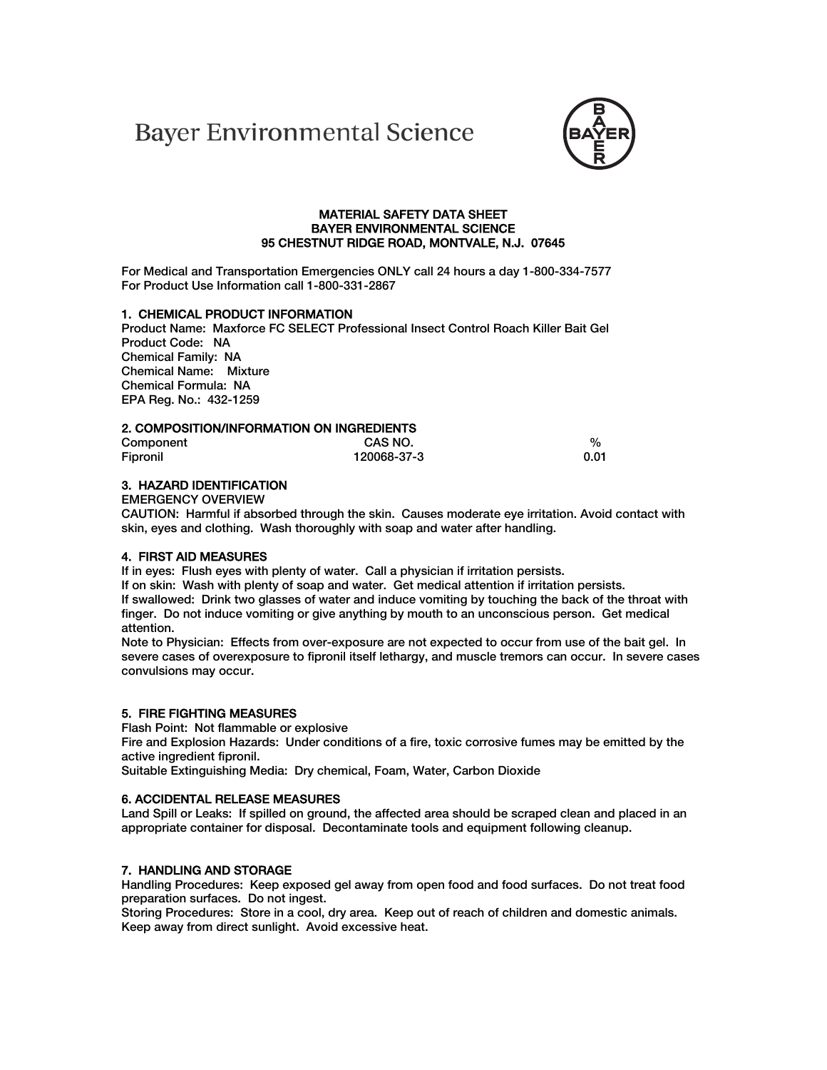# **Bayer Environmental Science**



## **MATERIAL SAFETY DATA SHEET BAYER ENVIRONMENTAL SCIENCE 95 CHESTNUT RIDGE ROAD, MONTVALE, N.J. 07645**

**For Medical and Transportation Emergencies ONLY call 24 hours a day 1-800-334-7577 For Product Use Information call 1-800-331-2867** 

# **1. CHEMICAL PRODUCT INFORMATION**

 **Product Name: Maxforce FC SELECT Professional Insect Control Roach Killer Bait Gel Product Code: NA Chemical Family: NA Chemical Name: Mixture Chemical Formula: NA EPA Reg. No.: 432-1259** 

### **2. COMPOSITION/INFORMATION ON INGREDIENTS**

| Component | CAS NO.     | %    |
|-----------|-------------|------|
| Fipronil  | 120068-37-3 | 0.01 |

# **3. HAZARD IDENTIFICATION**

**EMERGENCY OVERVIEW** 

**CAUTION: Harmful if absorbed through the skin. Causes moderate eye irritation. Avoid contact with skin, eyes and clothing. Wash thoroughly with soap and water after handling.** 

#### **4. FIRST AID MEASURES**

**If in eyes: Flush eyes with plenty of water. Call a physician if irritation persists.** 

**If on skin: Wash with plenty of soap and water. Get medical attention if irritation persists. If swallowed: Drink two glasses of water and induce vomiting by touching the back of the throat with finger. Do not induce vomiting or give anything by mouth to an unconscious person. Get medical attention.** 

**Note to Physician: Effects from over-exposure are not expected to occur from use of the bait gel. In severe cases of overexposure to fipronil itself lethargy, and muscle tremors can occur. In severe cases convulsions may occur.** 

#### **5. FIRE FIGHTING MEASURES**

**Flash Point: Not flammable or explosive** 

**Fire and Explosion Hazards: Under conditions of a fire, toxic corrosive fumes may be emitted by the active ingredient fipronil.** 

**Suitable Extinguishing Media: Dry chemical, Foam, Water, Carbon Dioxide** 

#### **6. ACCIDENTAL RELEASE MEASURES**

Land Spill or Leaks: If spilled on ground, the affected area should be scraped clean and placed in an **appropriate container for disposal. Decontaminate tools and equipment following cleanup.** 

## **7. HANDLING AND STORAGE**

**Handling Procedures: Keep exposed gel away from open food and food surfaces. Do not treat food preparation surfaces. Do not ingest.** 

**Storing Procedures: Store in a cool, dry area. Keep out of reach of children and domestic animals. Keep away from direct sunlight. Avoid excessive heat.**